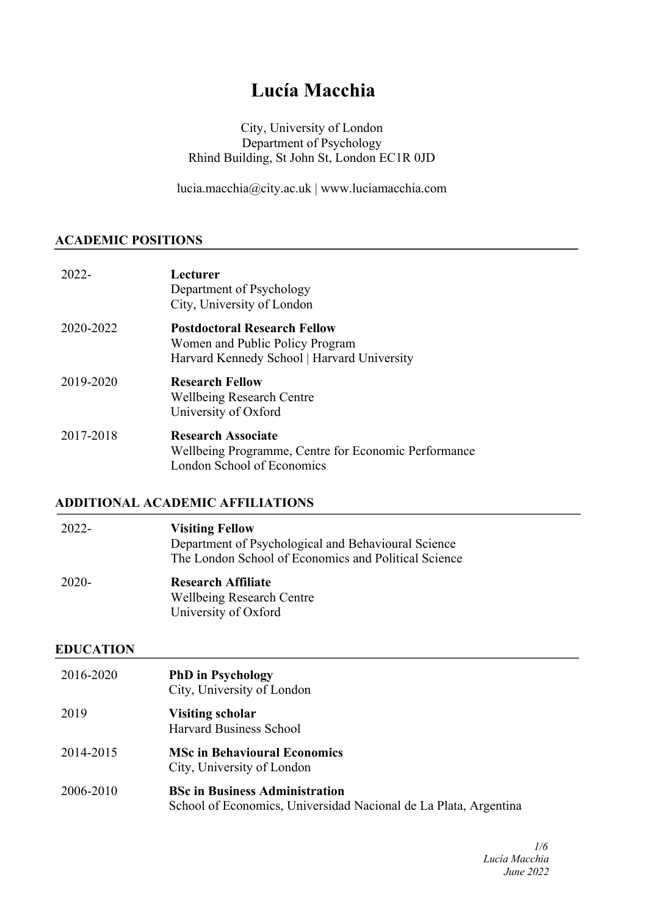# **Lucía Macchia**

## City, University of London Department of Psychology Rhind Building, St John St, London EC1R 0JD

lucia.macchia@city.ac.uk | www.luciamacchia.com

#### **ACADEMIC POSITIONS**

| 2022-     | Lecturer<br>Department of Psychology<br>City, University of London                                                    |
|-----------|-----------------------------------------------------------------------------------------------------------------------|
| 2020-2022 | <b>Postdoctoral Research Fellow</b><br>Women and Public Policy Program<br>Harvard Kennedy School   Harvard University |
| 2019-2020 | <b>Research Fellow</b><br><b>Wellbeing Research Centre</b><br>University of Oxford                                    |
| 2017-2018 | <b>Research Associate</b><br>Wellbeing Programme, Centre for Economic Performance<br>London School of Economics       |

## **ADDITIONAL ACADEMIC AFFILIATIONS**

| 2022- | <b>Visiting Fellow</b><br>Department of Psychological and Behavioural Science<br>The London School of Economics and Political Science |
|-------|---------------------------------------------------------------------------------------------------------------------------------------|
| 2020- | <b>Research Affiliate</b><br><b>Wellbeing Research Centre</b><br>University of Oxford                                                 |

#### **EDUCATION**

| 2016-2020 | <b>PhD</b> in Psychology<br>City, University of London            |
|-----------|-------------------------------------------------------------------|
| 2019      | <b>Visiting scholar</b><br><b>Harvard Business School</b>         |
| 2014-2015 | <b>MSc in Behavioural Economics</b><br>City, University of London |
| 2006-2010 | <b>BSc in Business Administration</b>                             |

School of Economics, Universidad Nacional de La Plata, Argentina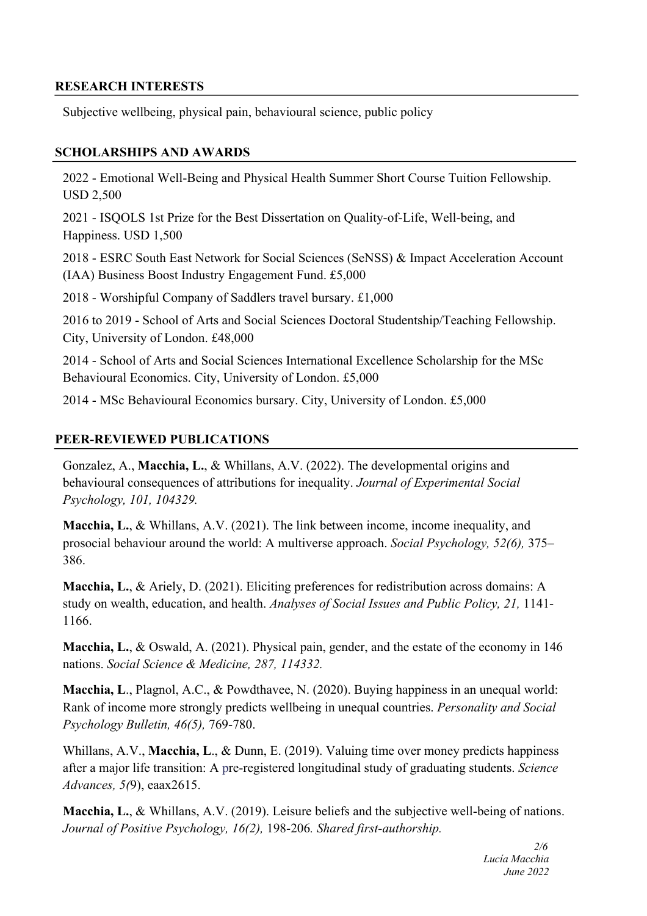## **RESEARCH INTERESTS**

Subjective wellbeing, physical pain, behavioural science, public policy

## **SCHOLARSHIPS AND AWARDS**

2022 - Emotional Well-Being and Physical Health Summer Short Course Tuition Fellowship. USD 2,500

2021 - ISQOLS 1st Prize for the Best Dissertation on Quality-of-Life, Well-being, and Happiness. USD 1,500

2018 - ESRC South East Network for Social Sciences (SeNSS) & Impact Acceleration Account (IAA) Business Boost Industry Engagement Fund. £5,000

2018 - Worshipful Company of Saddlers travel bursary. £1,000

2016 to 2019 - School of Arts and Social Sciences Doctoral Studentship/Teaching Fellowship. City, University of London. £48,000

2014 - School of Arts and Social Sciences International Excellence Scholarship for the MSc Behavioural Economics. City, University of London. £5,000

2014 - MSc Behavioural Economics bursary. City, University of London. £5,000

## **PEER-REVIEWED PUBLICATIONS**

Gonzalez, A., **Macchia, L.**, & Whillans, A.V. (2022). The developmental origins and behavioural consequences of attributions for inequality. *Journal of Experimental Social Psychology, 101, 104329.*

**Macchia, L.**, & Whillans, A.V. (2021). The link between income, income inequality, and prosocial behaviour around the world: A multiverse approach. *Social Psychology, 52(6),* 375– 386.

**Macchia, L.**, & Ariely, D. (2021). Eliciting preferences for redistribution across domains: A study on wealth, education, and health. *Analyses of Social Issues and Public Policy, 21,* 1141- 1166.

**Macchia, L.**, & Oswald, A. (2021). Physical pain, gender, and the estate of the economy in 146 nations. *Social Science & Medicine, 287, 114332.*

**Macchia, L**., Plagnol, A.C., & Powdthavee, N. (2020). Buying happiness in an unequal world: Rank of income more strongly predicts wellbeing in unequal countries. *Personality and Social Psychology Bulletin, 46(5),* 769-780.

Whillans, A.V., **Macchia, L**., & Dunn, E. (2019). Valuing time over money predicts happiness after a major life transition: A pre-registered longitudinal study of graduating students. *Science Advances, 5(*9), eaax2615.

**Macchia, L.**, & Whillans, A.V. (2019). Leisure beliefs and the subjective well-being of nations. *Journal of Positive Psychology, 16(2),* 198-206*. Shared first-authorship.*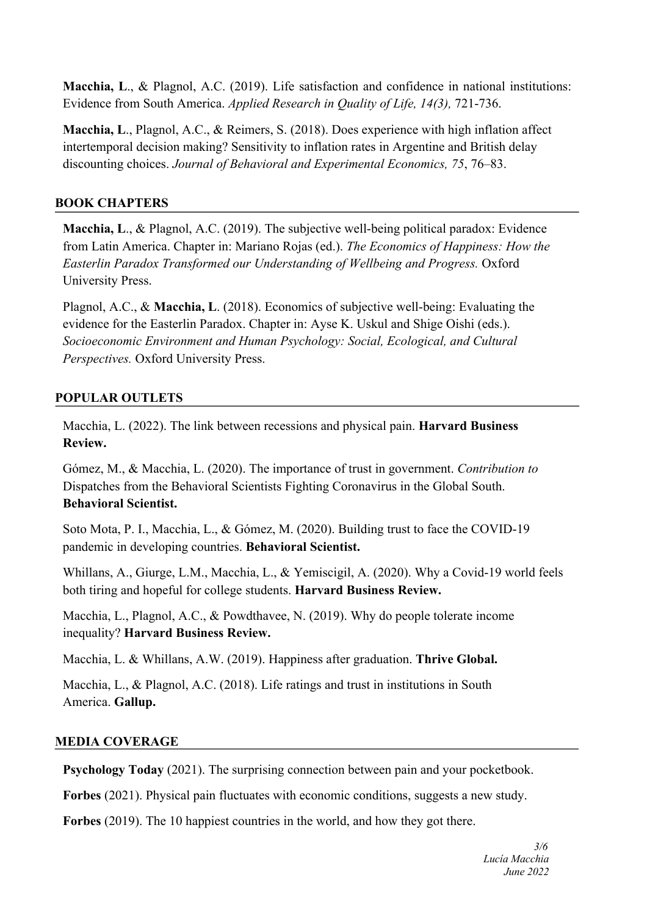**Macchia, L**., & Plagnol, A.C. (2019). Life satisfaction and confidence in national institutions: Evidence from South America. *Applied Research in Quality of Life, 14(3),* 721-736.

**Macchia, L**., Plagnol, A.C., & Reimers, S. (2018). Does experience with high inflation affect intertemporal decision making? Sensitivity to inflation rates in Argentine and British delay discounting choices. *Journal of Behavioral and Experimental Economics, 75*, 76–83.

## **BOOK CHAPTERS**

**Macchia, L**., & Plagnol, A.C. (2019). The subjective well-being political paradox: Evidence from Latin America. Chapter in: Mariano Rojas (ed.). *The Economics of Happiness: How the Easterlin Paradox Transformed our Understanding of Wellbeing and Progress.* Oxford University Press.

Plagnol, A.C., & **Macchia, L**. (2018). Economics of subjective well-being: Evaluating the evidence for the Easterlin Paradox. Chapter in: Ayse K. Uskul and Shige Oishi (eds.). *Socioeconomic Environment and Human Psychology: Social, Ecological, and Cultural Perspectives.* Oxford University Press.

## **POPULAR OUTLETS**

Macchia, L. (2022). The link between recessions and physical pain. **Harvard Business Review.**

Gómez, M., & Macchia, L. (2020). The importance of trust in government. *Contribution to* Dispatches from the Behavioral Scientists Fighting Coronavirus in the Global South. **Behavioral Scientist.**

Soto Mota, P. I., Macchia, L., & Gómez, M. (2020). Building trust to face the COVID-19 pandemic in developing countries. **Behavioral Scientist.**

Whillans, A., Giurge, L.M., Macchia, L., & Yemiscigil, A. (2020). Why a Covid-19 world feels both tiring and hopeful for college students. **Harvard Business Review.**

Macchia, L., Plagnol, A.C., & Powdthavee, N. (2019). Why do people tolerate income inequality? **Harvard Business Review.**

Macchia, L. & Whillans, A.W. (2019). Happiness after graduation. **Thrive Global.**

Macchia, L., & Plagnol, A.C. (2018). Life ratings and trust in institutions in South America. **Gallup.**

## **MEDIA COVERAGE**

**Psychology Today** (2021). The surprising connection between pain and your pocketbook.

**Forbes** (2021). Physical pain fluctuates with economic conditions, suggests a new study.

**Forbes** (2019). The 10 happiest countries in the world, and how they got there.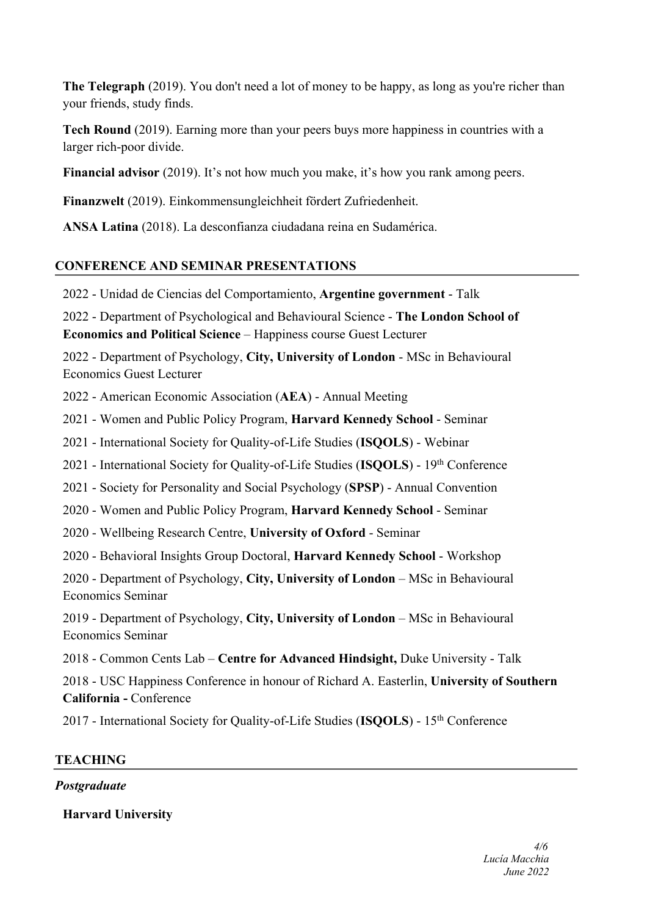**The Telegraph** (2019). You don't need a lot of money to be happy, as long as you're richer than your friends, study finds.

**Tech Round** (2019). Earning more than your peers buys more happiness in countries with a larger rich-poor divide.

**Financial advisor** (2019). It's not how much you make, it's how you rank among peers.

**Finanzwelt** (2019). Einkommensungleichheit fördert Zufriedenheit.

**ANSA Latina** (2018). La desconfianza ciudadana reina en Sudamérica.

## **CONFERENCE AND SEMINAR PRESENTATIONS**

2022 - Unidad de Ciencias del Comportamiento, **Argentine government** - Talk

2022 - Department of Psychological and Behavioural Science - **The London School of Economics and Political Science** – Happiness course Guest Lecturer

2022 - Department of Psychology, **City, University of London** - MSc in Behavioural Economics Guest Lecturer

2022 - American Economic Association (**AEA**) - Annual Meeting

2021 - Women and Public Policy Program, **Harvard Kennedy School** - Seminar

2021 - International Society for Quality-of-Life Studies (**ISQOLS**) - Webinar

2021 - International Society for Quality-of-Life Studies (**ISQOLS**) - 19th Conference

2021 - Society for Personality and Social Psychology (**SPSP**) - Annual Convention

2020 - Women and Public Policy Program, **Harvard Kennedy School** - Seminar

2020 - Wellbeing Research Centre, **University of Oxford** - Seminar

2020 - Behavioral Insights Group Doctoral, **Harvard Kennedy School** - Workshop

2020 - Department of Psychology, **City, University of London** – MSc in Behavioural Economics Seminar

2019 - Department of Psychology, **City, University of London** – MSc in Behavioural Economics Seminar

2018 - Common Cents Lab – **Centre for Advanced Hindsight,** Duke University - Talk

2018 - USC Happiness Conference in honour of Richard A. Easterlin, **University of Southern California -** Conference

2017 - International Society for Quality-of-Life Studies (**ISQOLS**) - 15th Conference

## **TEACHING**

## *Postgraduate*

**Harvard University**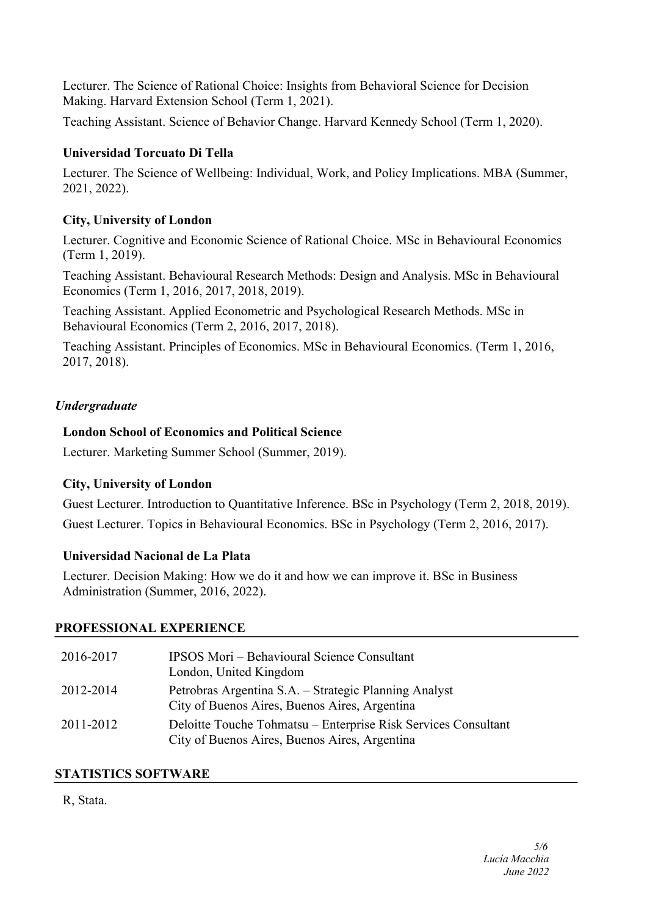Lecturer. The Science of Rational Choice: Insights from Behavioral Science for Decision Making. Harvard Extension School (Term 1, 2021).

Teaching Assistant. Science of Behavior Change. Harvard Kennedy School (Term 1, 2020).

## **Universidad Torcuato Di Tella**

Lecturer. The Science of Wellbeing: Individual, Work, and Policy Implications. MBA (Summer, 2021, 2022).

## **City, University of London**

Lecturer. Cognitive and Economic Science of Rational Choice. MSc in Behavioural Economics (Term 1, 2019).

Teaching Assistant. Behavioural Research Methods: Design and Analysis. MSc in Behavioural Economics (Term 1, 2016, 2017, 2018, 2019).

Teaching Assistant. Applied Econometric and Psychological Research Methods. MSc in Behavioural Economics (Term 2, 2016, 2017, 2018).

Teaching Assistant. Principles of Economics. MSc in Behavioural Economics. (Term 1, 2016, 2017, 2018).

## *Undergraduate*

## **London School of Economics and Political Science**

Lecturer. Marketing Summer School (Summer, 2019).

## **City, University of London**

Guest Lecturer. Introduction to Quantitative Inference. BSc in Psychology (Term 2, 2018, 2019). Guest Lecturer. Topics in Behavioural Economics. BSc in Psychology (Term 2, 2016, 2017).

## **Universidad Nacional de La Plata**

Lecturer. Decision Making: How we do it and how we can improve it. BSc in Business Administration (Summer, 2016, 2022).

## **PROFESSIONAL EXPERIENCE**

| 2016-2017 | <b>IPSOS Mori – Behavioural Science Consultant</b><br>London, United Kingdom                                    |
|-----------|-----------------------------------------------------------------------------------------------------------------|
| 2012-2014 | Petrobras Argentina S.A. - Strategic Planning Analyst<br>City of Buenos Aires, Buenos Aires, Argentina          |
| 2011-2012 | Deloitte Touche Tohmatsu – Enterprise Risk Services Consultant<br>City of Buenos Aires, Buenos Aires, Argentina |

## **STATISTICS SOFTWARE**

## R, Stata.